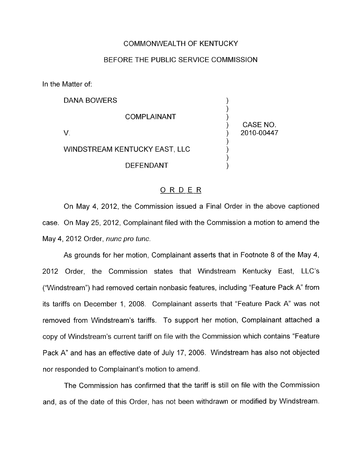## COMMONWEALTH OF KENTUCKY

## BEFORE THE PUBLIC SERVICE COMMISSION

In the Matter of:

| DANA BOWERS                   |            |
|-------------------------------|------------|
| <b>COMPLAINANT</b>            | CASE NO.   |
|                               | 2010-00447 |
| WINDSTREAM KENTUCKY EAST, LLC |            |
| <b>DEFENDANT</b>              |            |

## ORDER

On May 4, 2012, the Commission issued a Final Order in the above captioned case. On May 25, 2012, Complainant filed with the Commission a motion to amend the May **4,** 2012 Order, *nunc pro tunc.* 

As grounds for her motion, Complainant asserts that in Footnote 8 of the May 4, 2012 Order, the Commission states that Windstream Kentucky East, LLC's ("Windstream") had removed certain nonbasic features, including "Feature Pack A' from its tariffs on December 1, 2008. Complainant asserts that "Feature Pack A" was not removed from Windstream's tariffs. To support her motion, Complainant attached a copy of Windstream's current tariff on file with the Commission which contains "Feature Pack A" and has an effective date of July 17, 2006. Windstream has also not objected nor responded to Complainant's motion to amend.

The Commission has confirmed that the tariff is still on file with the Commission and, as of the date of this Order, has not been withdrawn or modified by Windstream.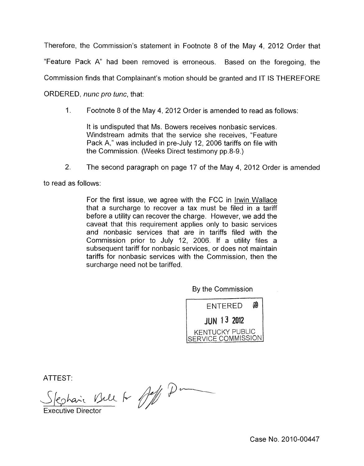Therefore, the Commission's statement in Footnote 8 of the May 4, 2012 Order that "Feature Pack A" had been removed is erroneous. Based on the foregoing, the Commission finds that Complainant's motion should be granted and IT IS THEREFORE ORDERED, *nunc pro tunc,* that:

1. Footnote 8 of the May 4, 2012 Order is amended to read as follows:

It is undisputed that Ms. Bowers receives nonbasic services. Windstream admits that the service she receives, "Feature Pack A," was included in pre-July 12, 2006 tariffs on file with the Commission. (Weeks Direct testimony pp.8-9.)

2. The second paragraph on page 17 of the May 4, 2012 Order is amended

to read as follows:

For the first issue, we agree with the FCC in Irwin Wallace that a surcharge to recover a tax must be filed in a tariff before a utility can recover the charge. However, we add the caveat that this requirement applies only to basic services and nonbasic services that are in tariffs filed with the Commission prior to July 12, 2006. If a utility files a subsequent tariff for nonbasic services, or does not maintain tariffs for nonbasic services with the Commission, then the surcharge need not be tariffed.

By the Commission



 $\overline{ATTEST}$ : *P-*

Executive Director